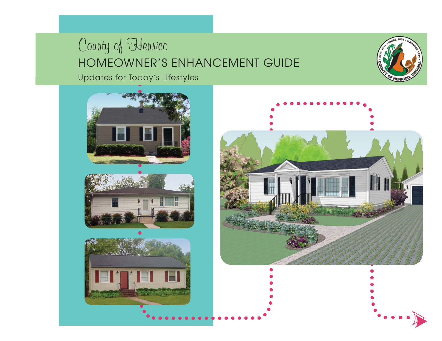Updates for Today's Lifestyles











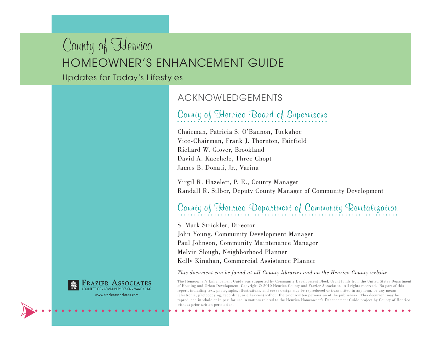Updates for Today's Lifestyles



www.frazierassociates.com

#### ACKNOWLEDGEMENTS

### **County of Henrico Board of Supervisors**

Chairman, Patricia S. O'Bannon, Tuckahoe Vice-Chairman, Frank J. Thornton, Fairfield Richard W. Glover, Brookland David A. Kaechele, Three Chopt James B. Donati, Jr., Varina

Virgil R. Hazelett, P. E., County Manager Randall R. Silber, Deputy County Manager of Community Development

### **County of Henrico Department of Community Revitalization**

S. Mark Strickler, Director

John Young, Community Development Manager Paul Johnson, Community Maintenance Manager Melvin Slough, Neighborhood Planner Kelly Kinahan, Commercial Assistance Planner

#### *This document can be found at all County libraries and on the Henrico County website.*

The Homeowner's Enhancement Guide was supported by Community Development Block Grant funds from the United States Department of Housing and Urban Development. Copyright © 2010 Henrico County and Frazier Associates. All rights reserved. No part of this report, including text, photographs, illustrations, and cover design may be reproduced or transmitted in any form, by any means (electronic, photocopying, recording, or otherwise) without the prior written permission of the publishers. This document may be reproduced in whole or in part for use in matters related to the Henrico Homeowner's Enhancement Guide project by County of Henrico without prior written permission.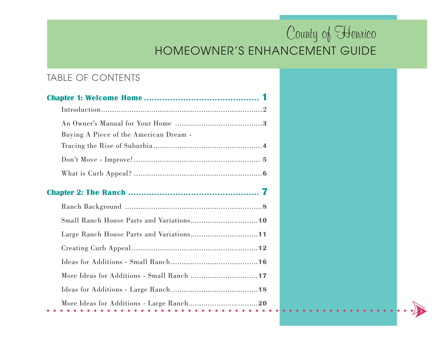**i**

### TABLE OF CONTENTS

| Buying A Piece of the American Dream -    |  |  |  |
|-------------------------------------------|--|--|--|
|                                           |  |  |  |
|                                           |  |  |  |
|                                           |  |  |  |
|                                           |  |  |  |
|                                           |  |  |  |
|                                           |  |  |  |
|                                           |  |  |  |
|                                           |  |  |  |
|                                           |  |  |  |
| More Ideas for Additions - Small Ranch 17 |  |  |  |
|                                           |  |  |  |
| .<br>.                                    |  |  |  |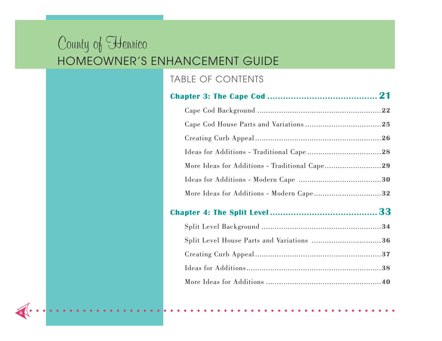**ii**

### TABLE OF CONTENTS

|  | More Ideas for Additions - Modern Cape32  |  |
|--|-------------------------------------------|--|
|  |                                           |  |
|  |                                           |  |
|  | Split Level House Parts and Variations 36 |  |
|  |                                           |  |
|  |                                           |  |
|  |                                           |  |
|  |                                           |  |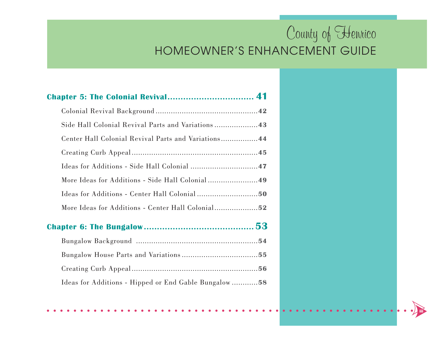**iii**

| <b>Chapter 5: The Colonial Revival 41</b>            |  |
|------------------------------------------------------|--|
|                                                      |  |
| Side Hall Colonial Revival Parts and Variations43    |  |
| Center Hall Colonial Revival Parts and Variations 44 |  |
|                                                      |  |
|                                                      |  |
|                                                      |  |
|                                                      |  |
|                                                      |  |
|                                                      |  |
|                                                      |  |
|                                                      |  |
|                                                      |  |
| Ideas for Additions - Hipped or End Gable Bungalow58 |  |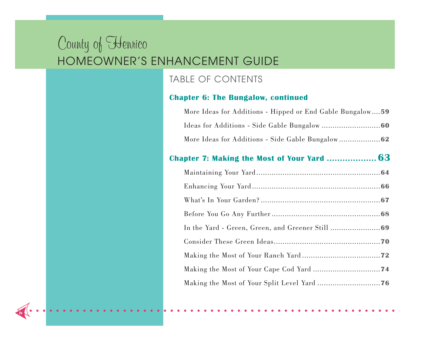**iv**

#### TABLE OF CONTENTS

#### **Chapter 6: The Bungalow, continued**

| More Ideas for Additions - Hipped or End Gable Bungalow59 |
|-----------------------------------------------------------|
|                                                           |
|                                                           |
|                                                           |
|                                                           |
|                                                           |
|                                                           |
|                                                           |
|                                                           |
|                                                           |
|                                                           |
|                                                           |
|                                                           |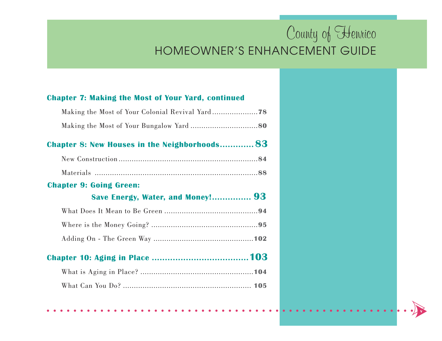**v**

#### **Chapter 7: Making the Most of Your Yard, continued**

| <b>Chapter 8: New Houses in the Neighborhoods 83</b> |  |
|------------------------------------------------------|--|
|                                                      |  |
|                                                      |  |
| <b>Chapter 9: Going Green:</b>                       |  |
| Save Energy, Water, and Money! 93                    |  |
|                                                      |  |
|                                                      |  |
|                                                      |  |
|                                                      |  |
|                                                      |  |
|                                                      |  |
|                                                      |  |